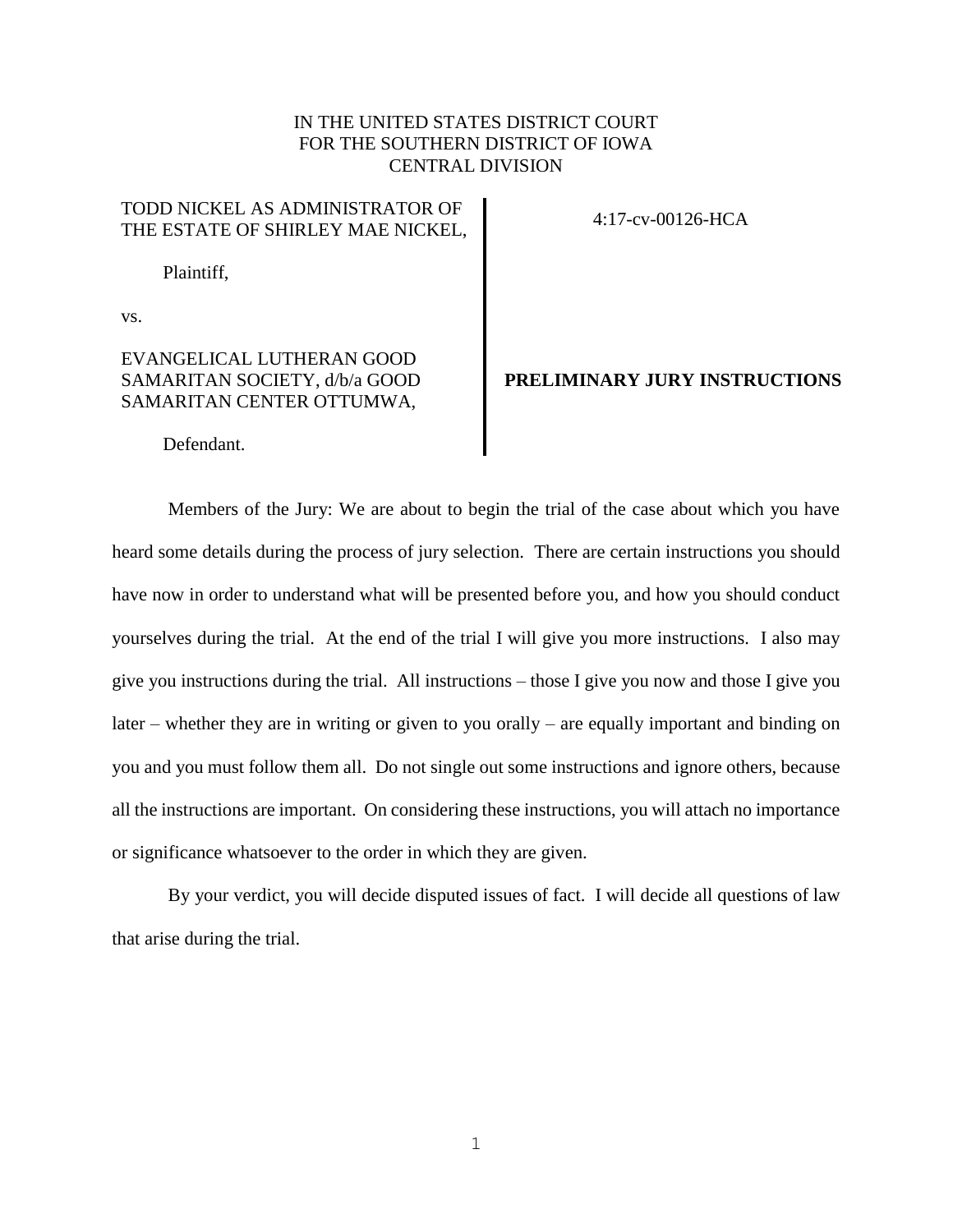## IN THE UNITED STATES DISTRICT COURT FOR THE SOUTHERN DISTRICT OF IOWA CENTRAL DIVISION

## TODD NICKEL AS ADMINISTRATOR OF THE ESTATE OF SHIRLEY MAE NICKEL, 4:17-cv-00126-HCA

Plaintiff,

vs.

## EVANGELICAL LUTHERAN GOOD SAMARITAN SOCIETY, d/b/a GOOD SAMARITAN CENTER OTTUMWA,

## **PRELIMINARY JURY INSTRUCTIONS**

Defendant.

Members of the Jury: We are about to begin the trial of the case about which you have heard some details during the process of jury selection. There are certain instructions you should have now in order to understand what will be presented before you, and how you should conduct yourselves during the trial. At the end of the trial I will give you more instructions. I also may give you instructions during the trial. All instructions – those I give you now and those I give you later – whether they are in writing or given to you orally – are equally important and binding on you and you must follow them all. Do not single out some instructions and ignore others, because all the instructions are important. On considering these instructions, you will attach no importance or significance whatsoever to the order in which they are given.

By your verdict, you will decide disputed issues of fact. I will decide all questions of law that arise during the trial.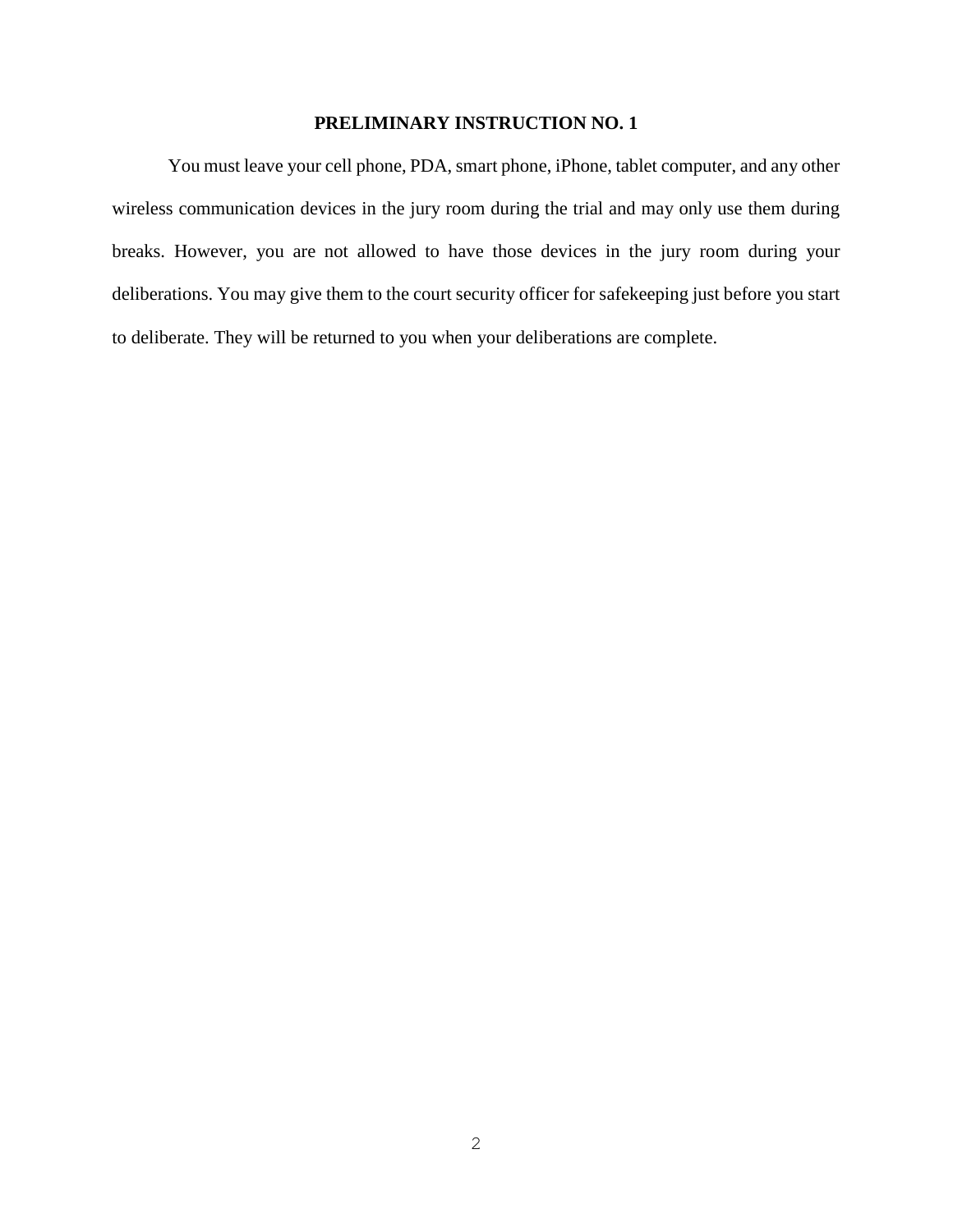You must leave your cell phone, PDA, smart phone, iPhone, tablet computer, and any other wireless communication devices in the jury room during the trial and may only use them during breaks. However, you are not allowed to have those devices in the jury room during your deliberations. You may give them to the court security officer for safekeeping just before you start to deliberate. They will be returned to you when your deliberations are complete.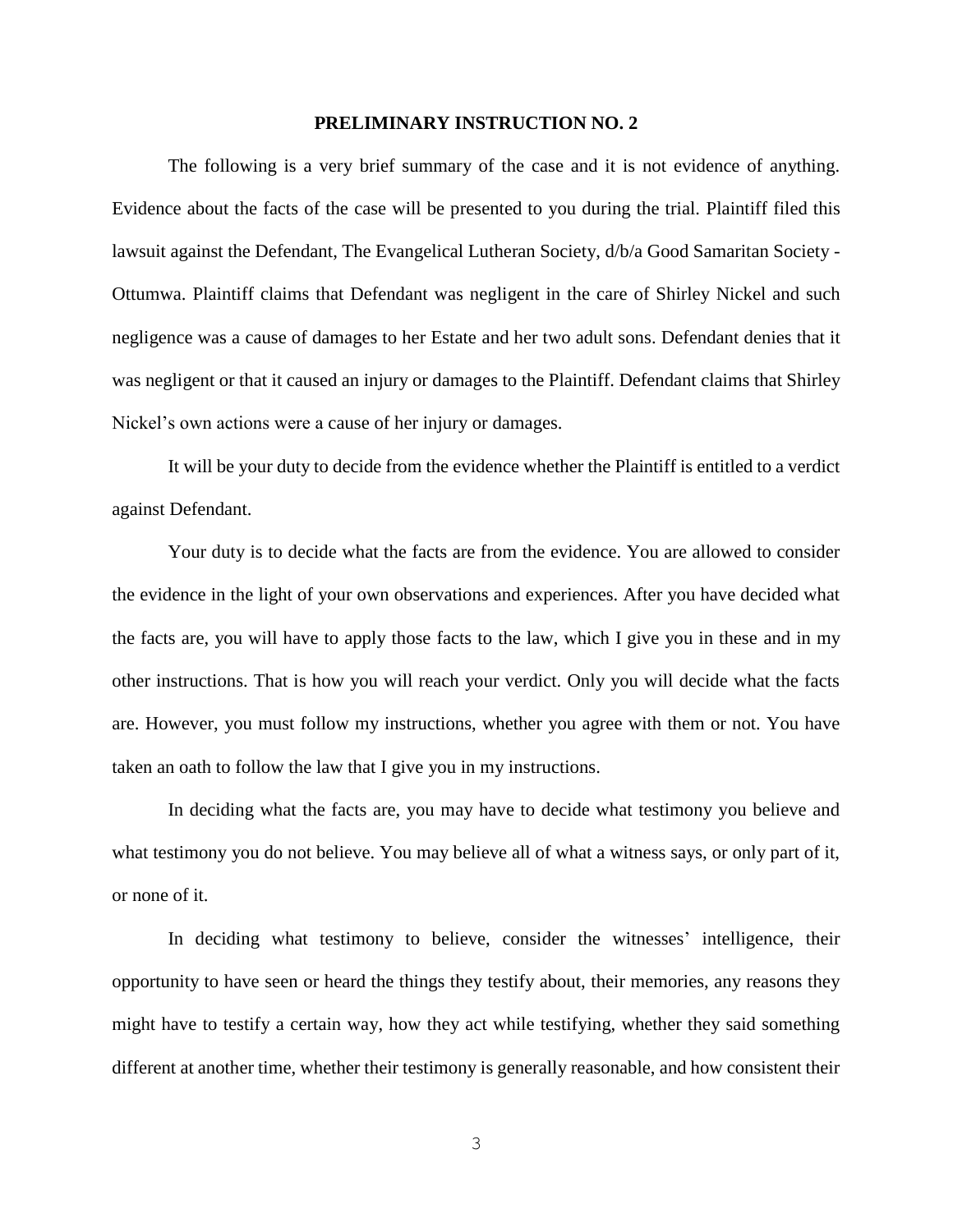The following is a very brief summary of the case and it is not evidence of anything. Evidence about the facts of the case will be presented to you during the trial. Plaintiff filed this lawsuit against the Defendant, The Evangelical Lutheran Society, d/b/a Good Samaritan Society - Ottumwa. Plaintiff claims that Defendant was negligent in the care of Shirley Nickel and such negligence was a cause of damages to her Estate and her two adult sons. Defendant denies that it was negligent or that it caused an injury or damages to the Plaintiff. Defendant claims that Shirley Nickel's own actions were a cause of her injury or damages.

It will be your duty to decide from the evidence whether the Plaintiff is entitled to a verdict against Defendant.

Your duty is to decide what the facts are from the evidence. You are allowed to consider the evidence in the light of your own observations and experiences. After you have decided what the facts are, you will have to apply those facts to the law, which I give you in these and in my other instructions. That is how you will reach your verdict. Only you will decide what the facts are. However, you must follow my instructions, whether you agree with them or not. You have taken an oath to follow the law that I give you in my instructions.

In deciding what the facts are, you may have to decide what testimony you believe and what testimony you do not believe. You may believe all of what a witness says, or only part of it, or none of it.

In deciding what testimony to believe, consider the witnesses' intelligence, their opportunity to have seen or heard the things they testify about, their memories, any reasons they might have to testify a certain way, how they act while testifying, whether they said something different at another time, whether their testimony is generally reasonable, and how consistent their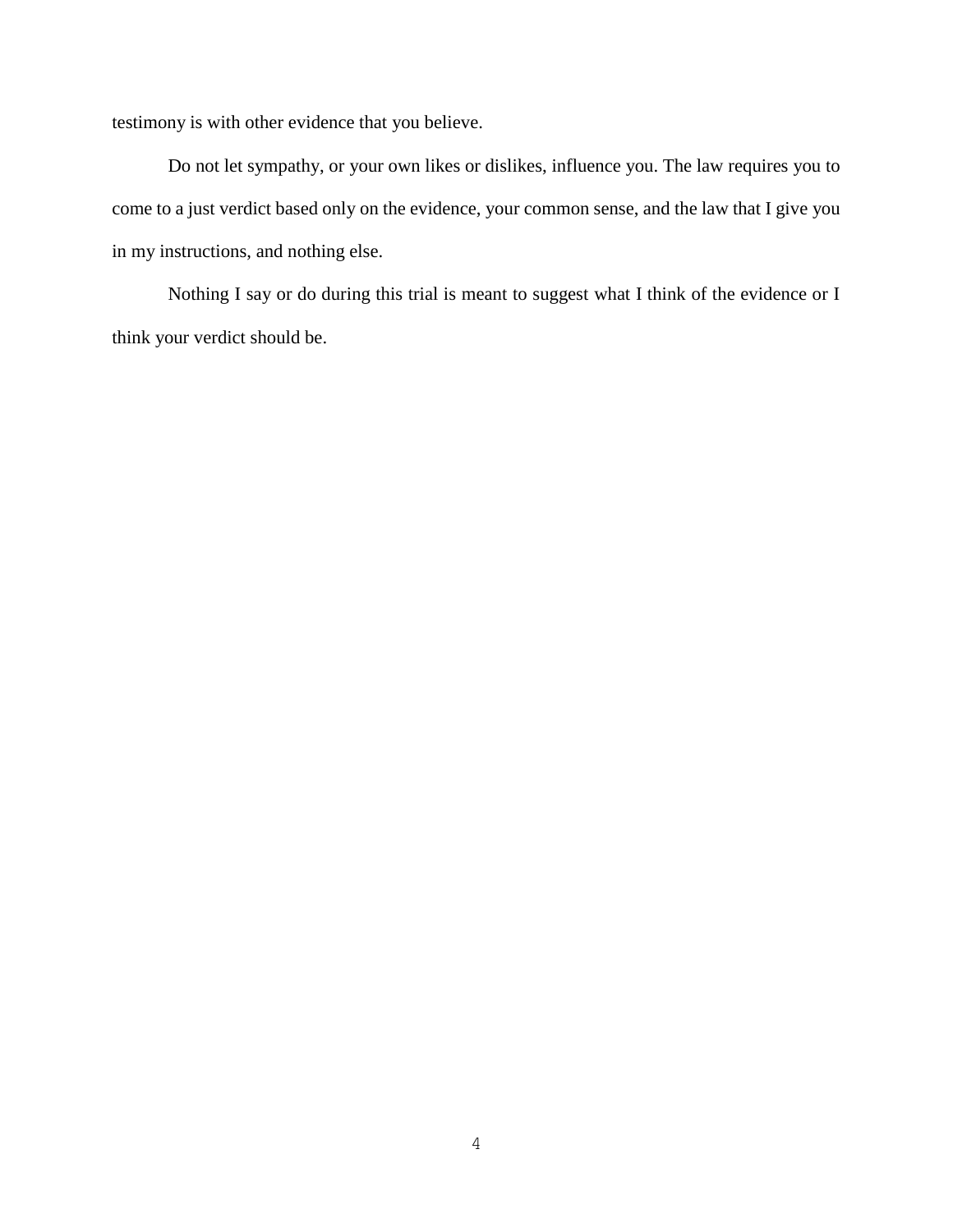testimony is with other evidence that you believe.

Do not let sympathy, or your own likes or dislikes, influence you. The law requires you to come to a just verdict based only on the evidence, your common sense, and the law that I give you in my instructions, and nothing else.

Nothing I say or do during this trial is meant to suggest what I think of the evidence or I think your verdict should be.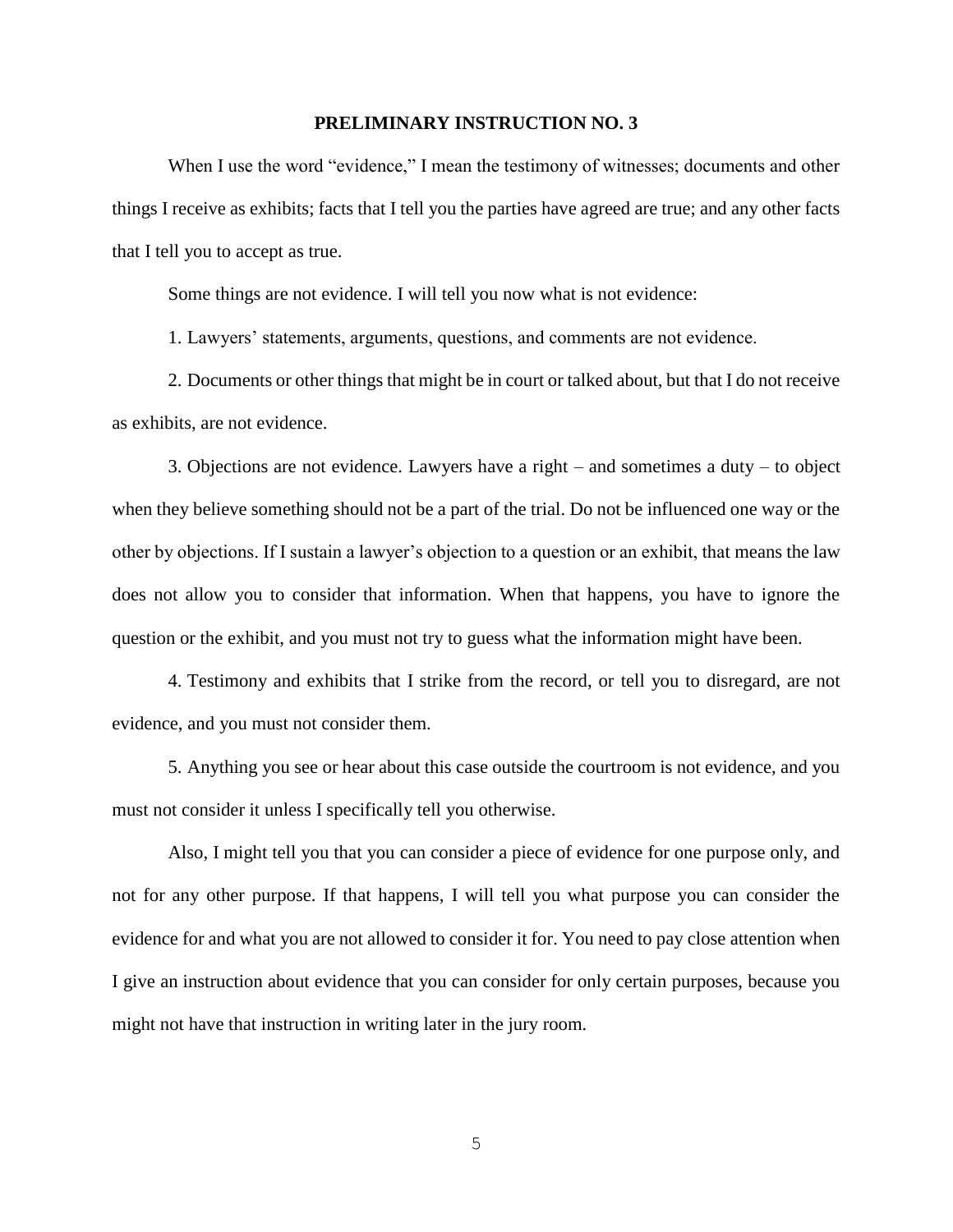When I use the word "evidence," I mean the testimony of witnesses; documents and other things I receive as exhibits; facts that I tell you the parties have agreed are true; and any other facts that I tell you to accept as true.

Some things are not evidence. I will tell you now what is not evidence:

1. Lawyers' statements, arguments, questions, and comments are not evidence.

2. Documents or other things that might be in court or talked about, but that I do not receive as exhibits, are not evidence.

3. Objections are not evidence. Lawyers have a right – and sometimes a duty – to object when they believe something should not be a part of the trial. Do not be influenced one way or the other by objections. If I sustain a lawyer's objection to a question or an exhibit, that means the law does not allow you to consider that information. When that happens, you have to ignore the question or the exhibit, and you must not try to guess what the information might have been.

4. Testimony and exhibits that I strike from the record, or tell you to disregard, are not evidence, and you must not consider them.

5. Anything you see or hear about this case outside the courtroom is not evidence, and you must not consider it unless I specifically tell you otherwise.

Also, I might tell you that you can consider a piece of evidence for one purpose only, and not for any other purpose. If that happens, I will tell you what purpose you can consider the evidence for and what you are not allowed to consider it for. You need to pay close attention when I give an instruction about evidence that you can consider for only certain purposes, because you might not have that instruction in writing later in the jury room.

5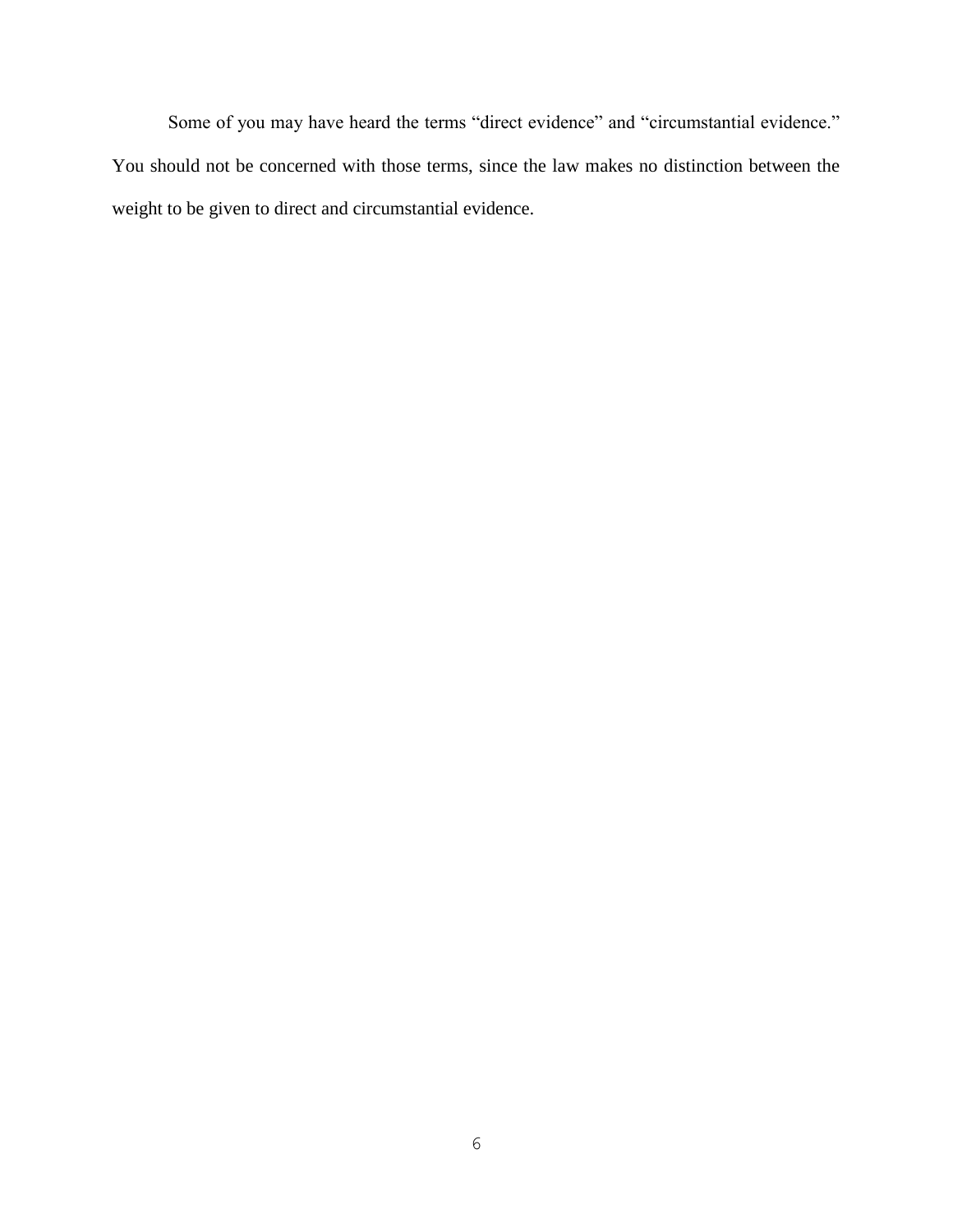Some of you may have heard the terms "direct evidence" and "circumstantial evidence." You should not be concerned with those terms, since the law makes no distinction between the weight to be given to direct and circumstantial evidence.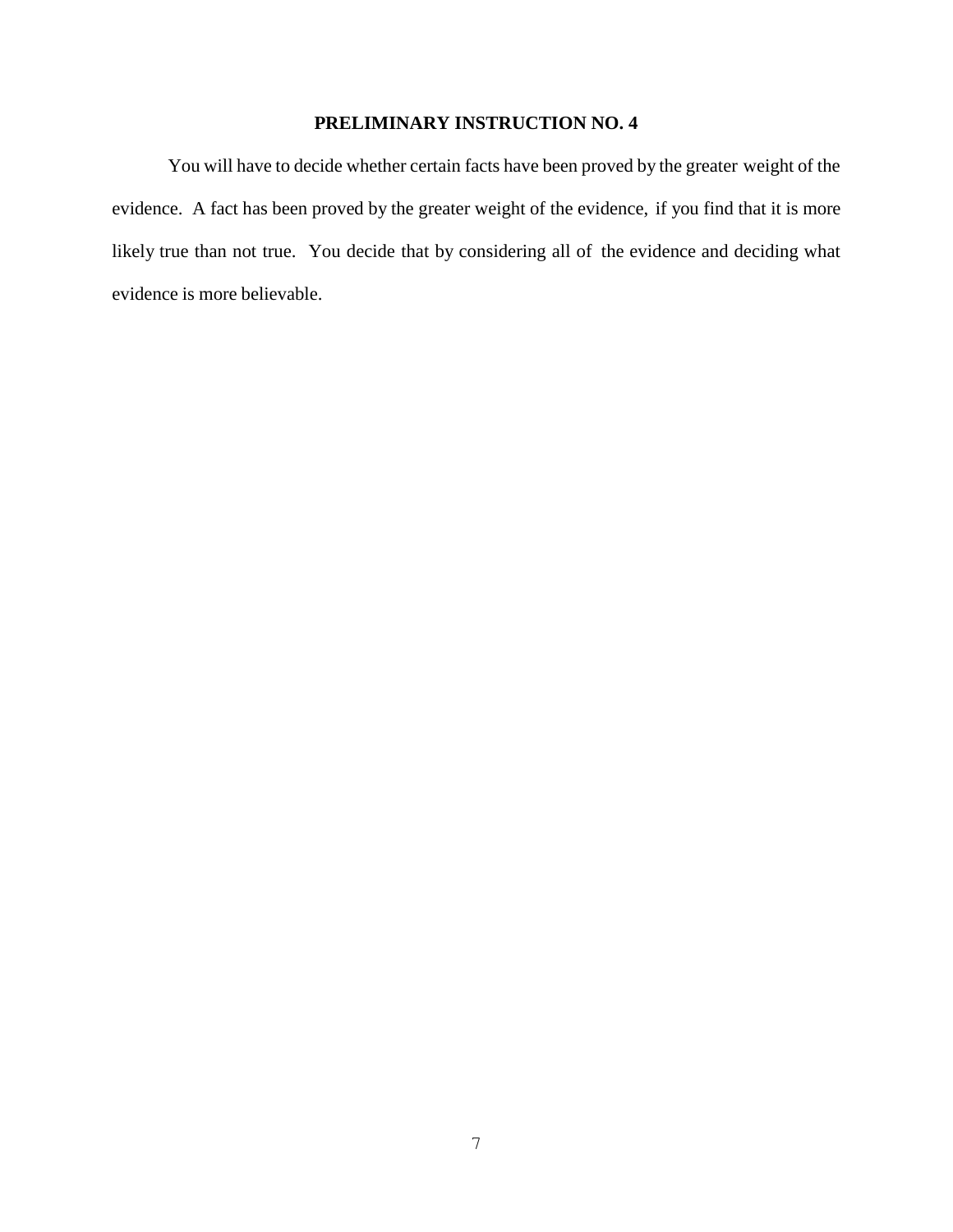You will have to decide whether certain facts have been proved by the greater weight of the evidence. A fact has been proved by the greater weight of the evidence, if you find that it is more likely true than not true. You decide that by considering all of the evidence and deciding what evidence is more believable.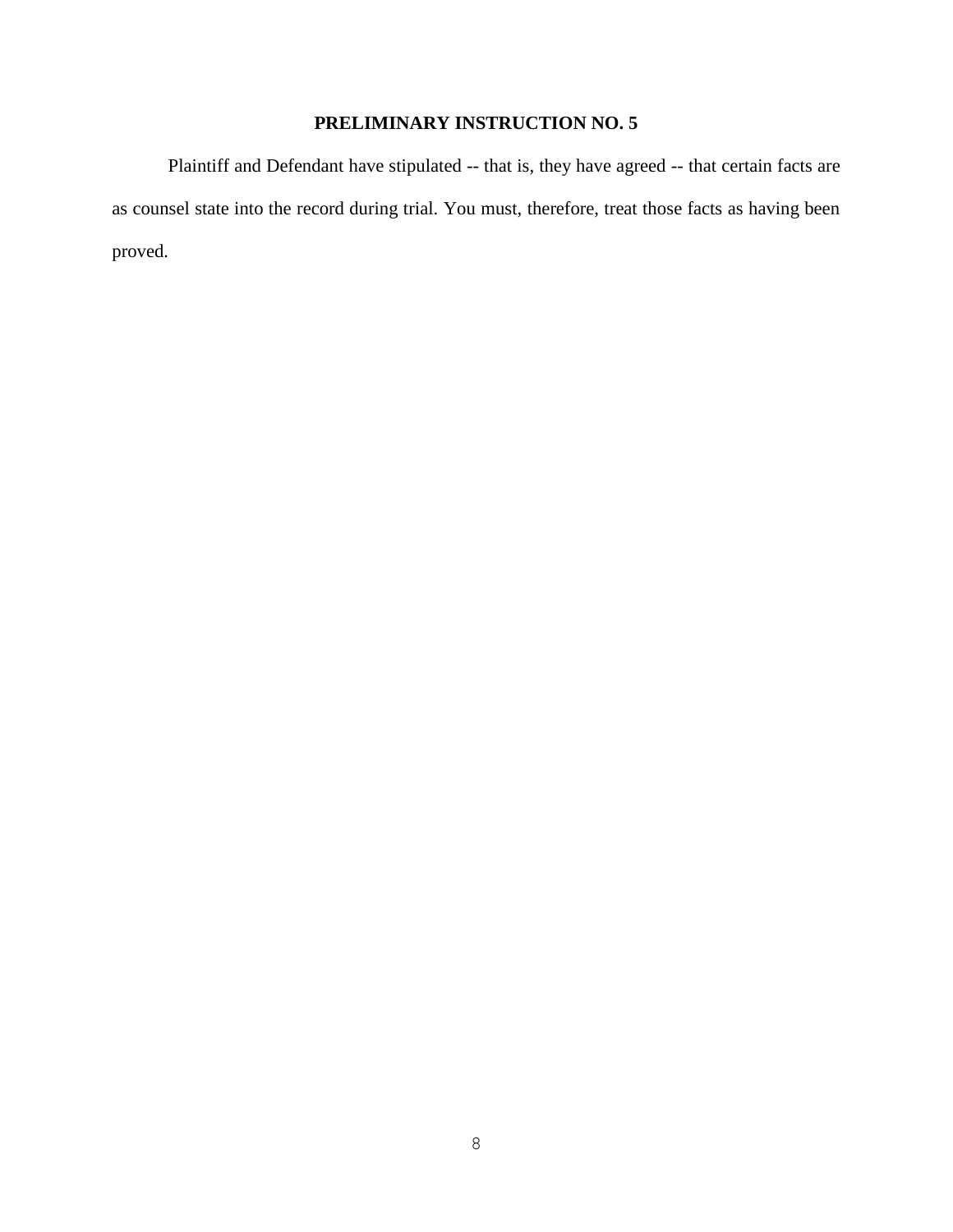Plaintiff and Defendant have stipulated -- that is, they have agreed -- that certain facts are as counsel state into the record during trial. You must, therefore, treat those facts as having been proved.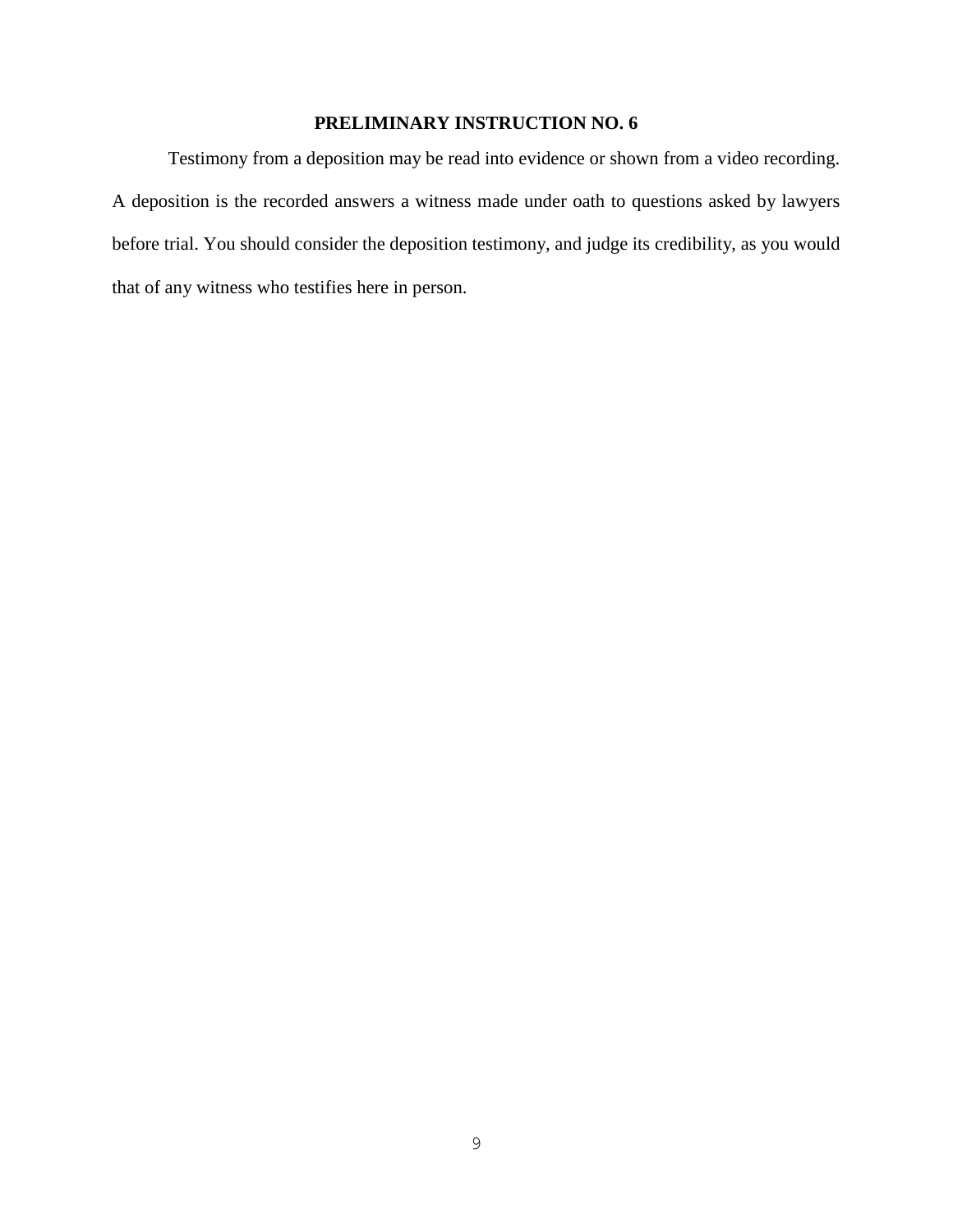Testimony from a deposition may be read into evidence or shown from a video recording. A deposition is the recorded answers a witness made under oath to questions asked by lawyers before trial. You should consider the deposition testimony, and judge its credibility, as you would that of any witness who testifies here in person.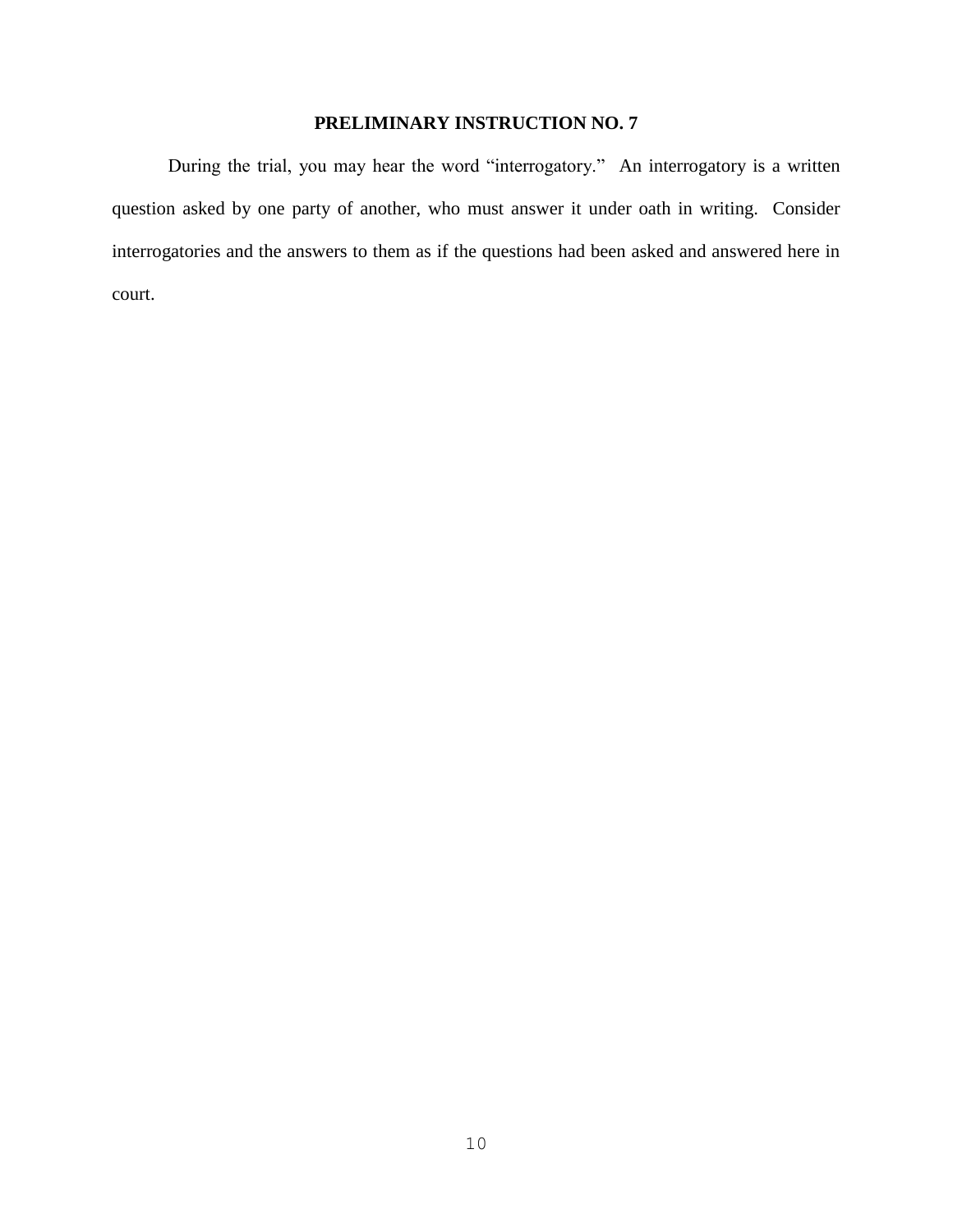During the trial, you may hear the word "interrogatory." An interrogatory is a written question asked by one party of another, who must answer it under oath in writing. Consider interrogatories and the answers to them as if the questions had been asked and answered here in court.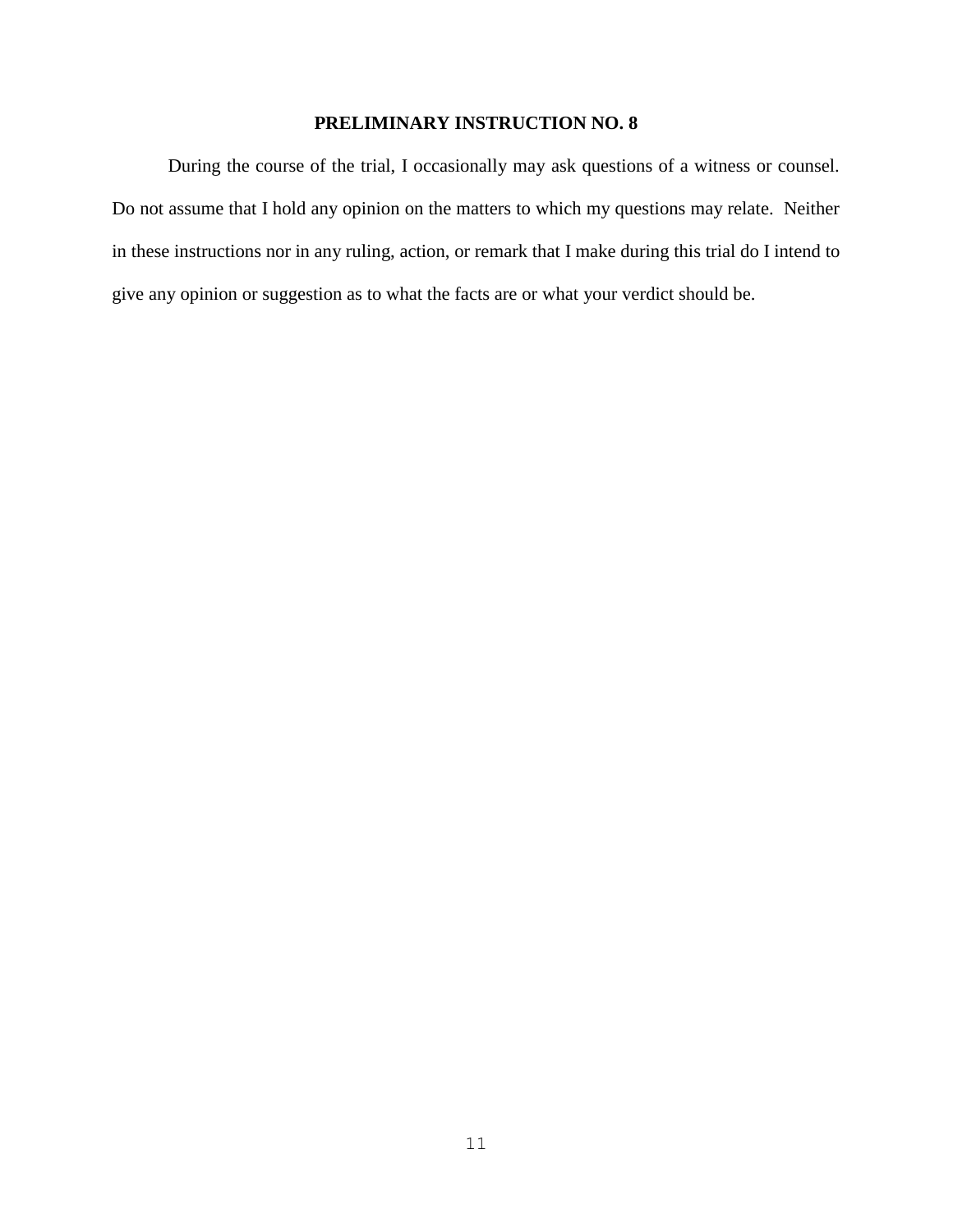During the course of the trial, I occasionally may ask questions of a witness or counsel. Do not assume that I hold any opinion on the matters to which my questions may relate. Neither in these instructions nor in any ruling, action, or remark that I make during this trial do I intend to give any opinion or suggestion as to what the facts are or what your verdict should be.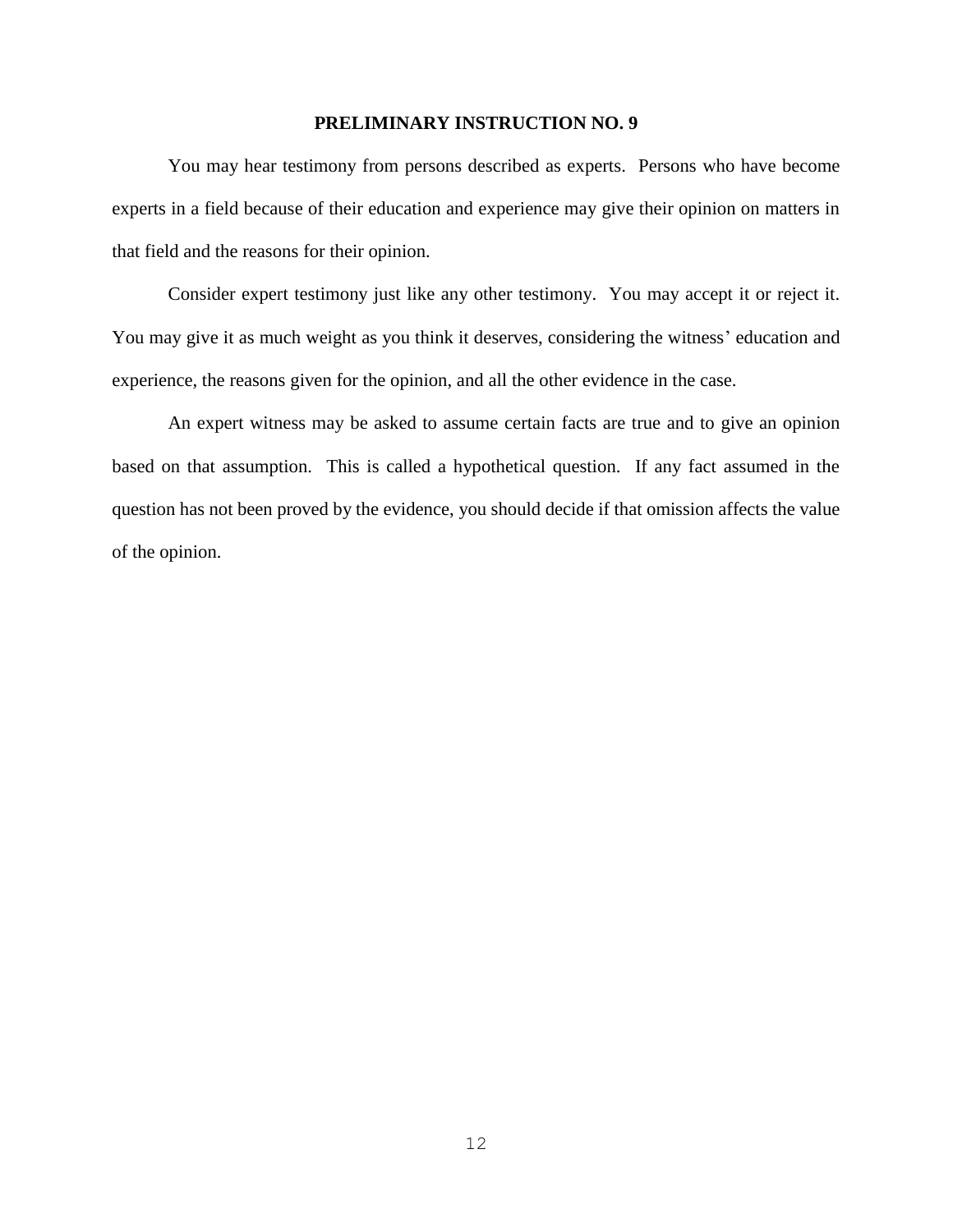You may hear testimony from persons described as experts. Persons who have become experts in a field because of their education and experience may give their opinion on matters in that field and the reasons for their opinion.

Consider expert testimony just like any other testimony. You may accept it or reject it. You may give it as much weight as you think it deserves, considering the witness' education and experience, the reasons given for the opinion, and all the other evidence in the case.

An expert witness may be asked to assume certain facts are true and to give an opinion based on that assumption. This is called a hypothetical question. If any fact assumed in the question has not been proved by the evidence, you should decide if that omission affects the value of the opinion.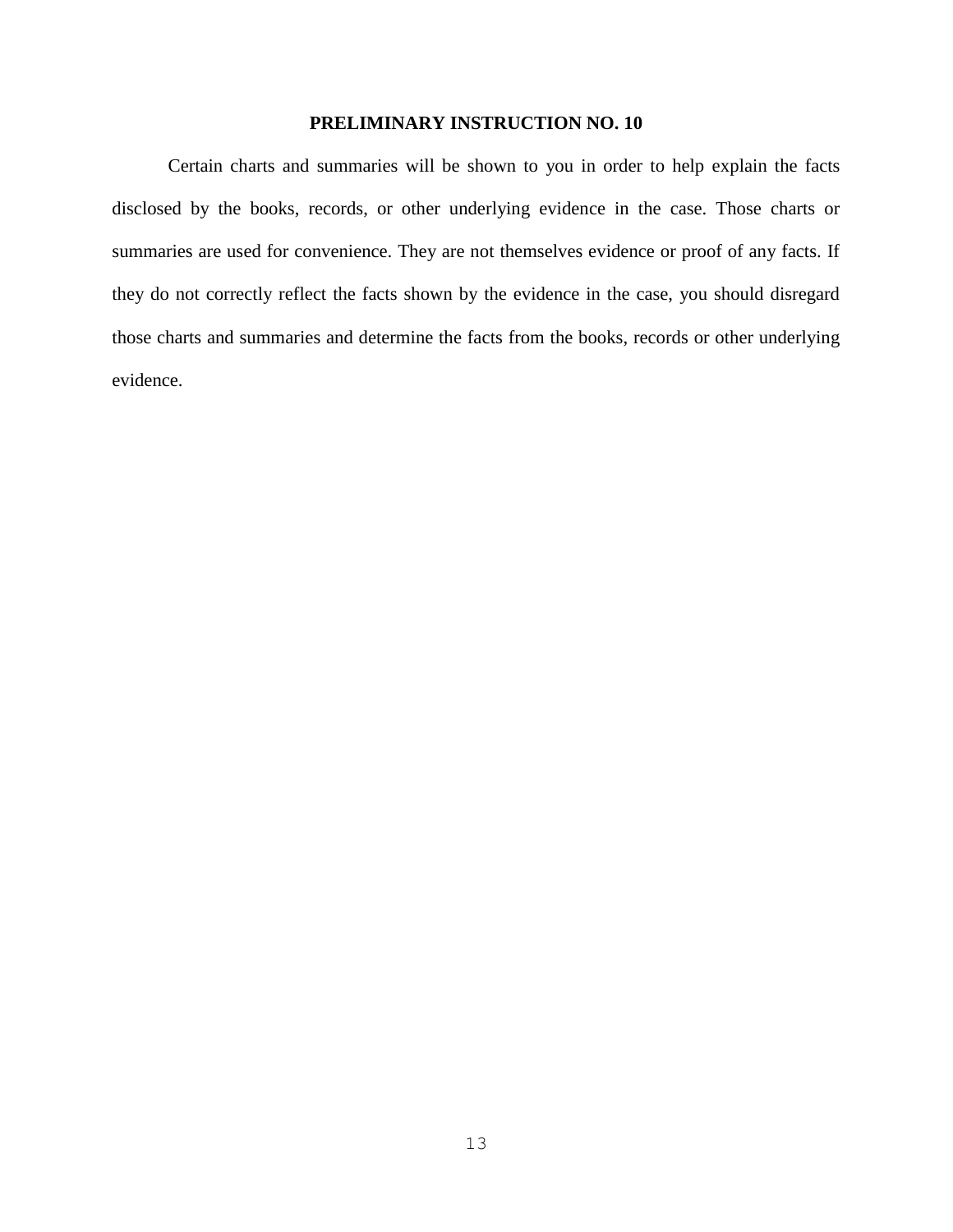Certain charts and summaries will be shown to you in order to help explain the facts disclosed by the books, records, or other underlying evidence in the case. Those charts or summaries are used for convenience. They are not themselves evidence or proof of any facts. If they do not correctly reflect the facts shown by the evidence in the case, you should disregard those charts and summaries and determine the facts from the books, records or other underlying evidence.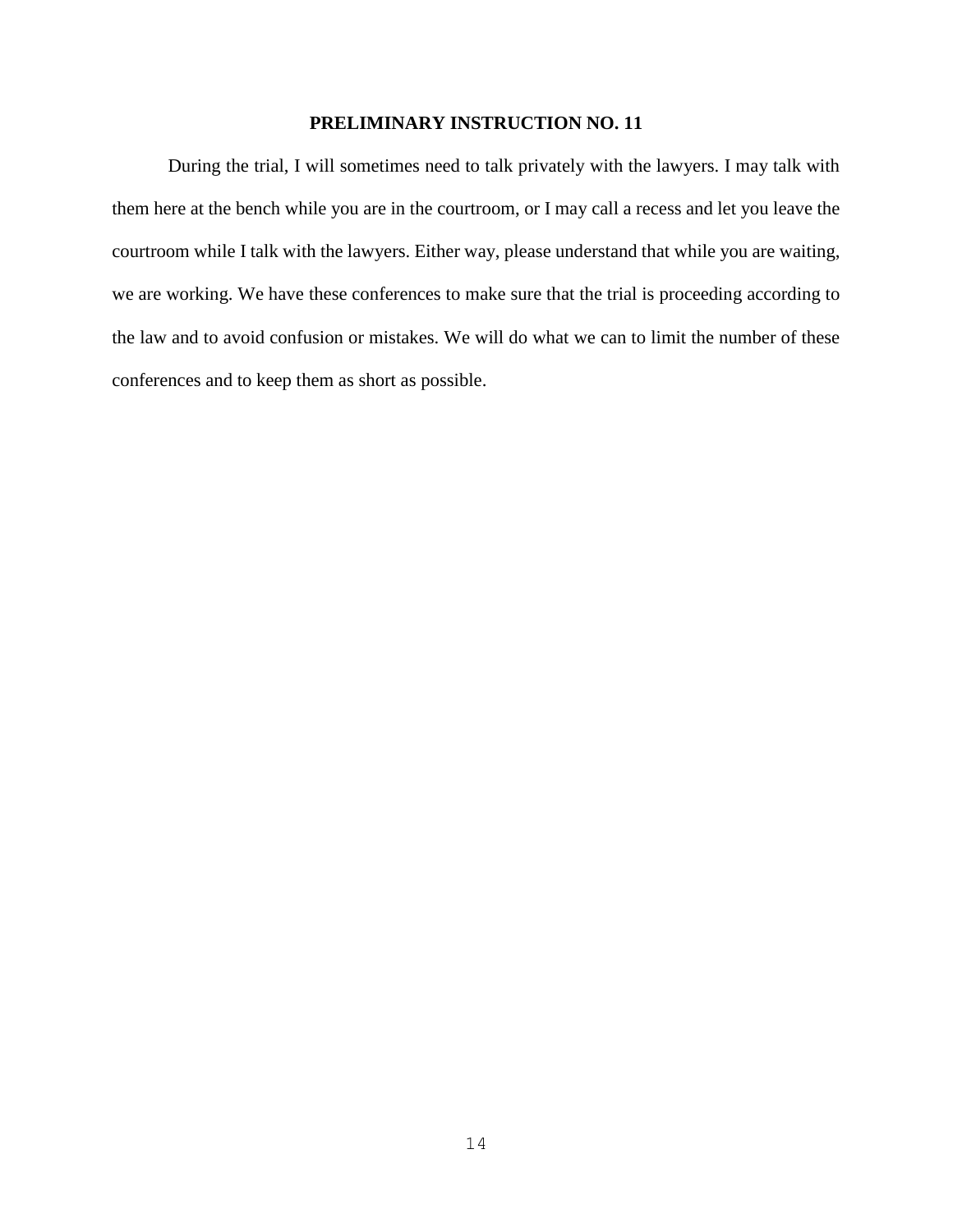During the trial, I will sometimes need to talk privately with the lawyers. I may talk with them here at the bench while you are in the courtroom, or I may call a recess and let you leave the courtroom while I talk with the lawyers. Either way, please understand that while you are waiting, we are working. We have these conferences to make sure that the trial is proceeding according to the law and to avoid confusion or mistakes. We will do what we can to limit the number of these conferences and to keep them as short as possible.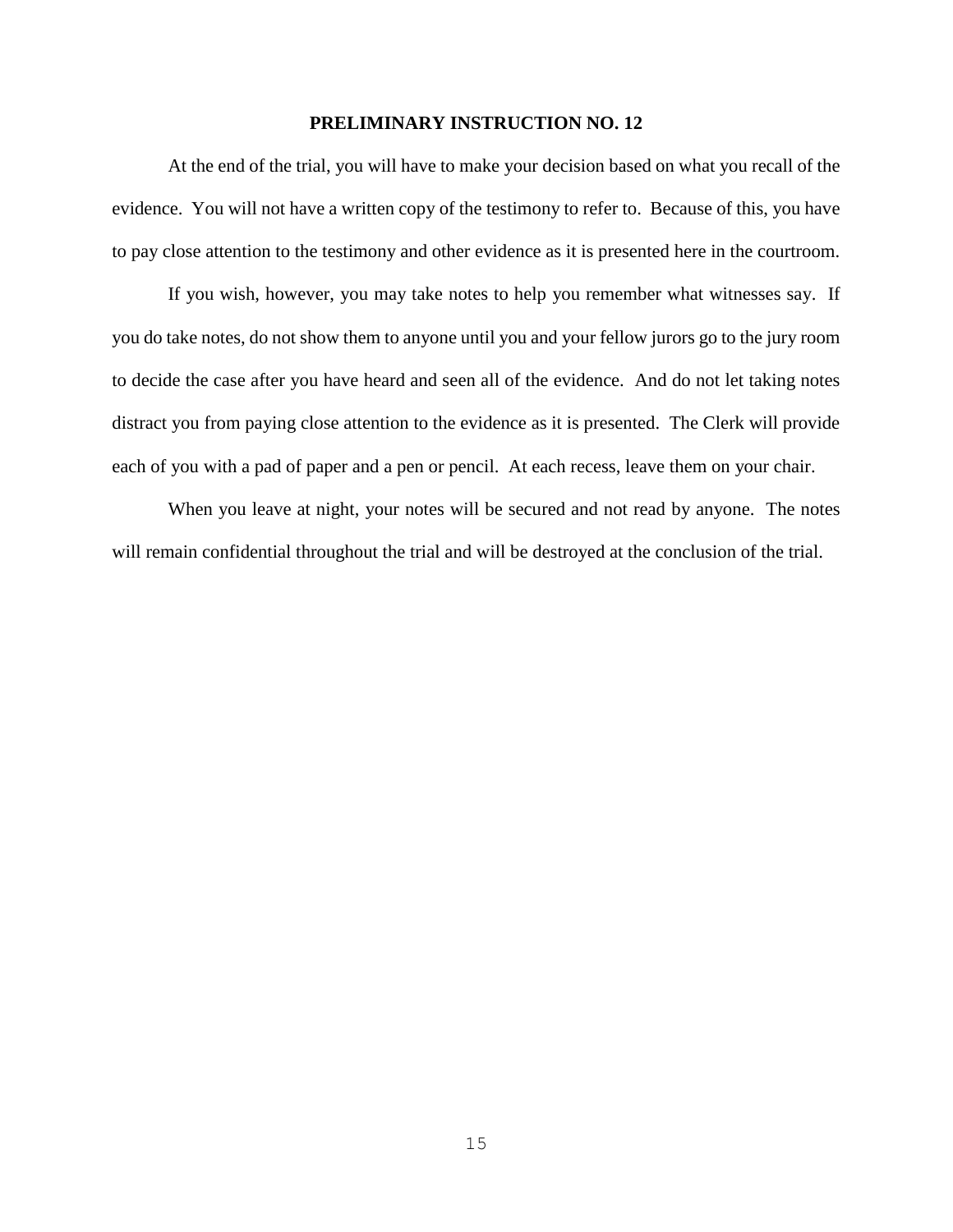At the end of the trial, you will have to make your decision based on what you recall of the evidence. You will not have a written copy of the testimony to refer to. Because of this, you have to pay close attention to the testimony and other evidence as it is presented here in the courtroom.

If you wish, however, you may take notes to help you remember what witnesses say. If you do take notes, do not show them to anyone until you and your fellow jurors go to the jury room to decide the case after you have heard and seen all of the evidence. And do not let taking notes distract you from paying close attention to the evidence as it is presented. The Clerk will provide each of you with a pad of paper and a pen or pencil. At each recess, leave them on your chair.

When you leave at night, your notes will be secured and not read by anyone. The notes will remain confidential throughout the trial and will be destroyed at the conclusion of the trial.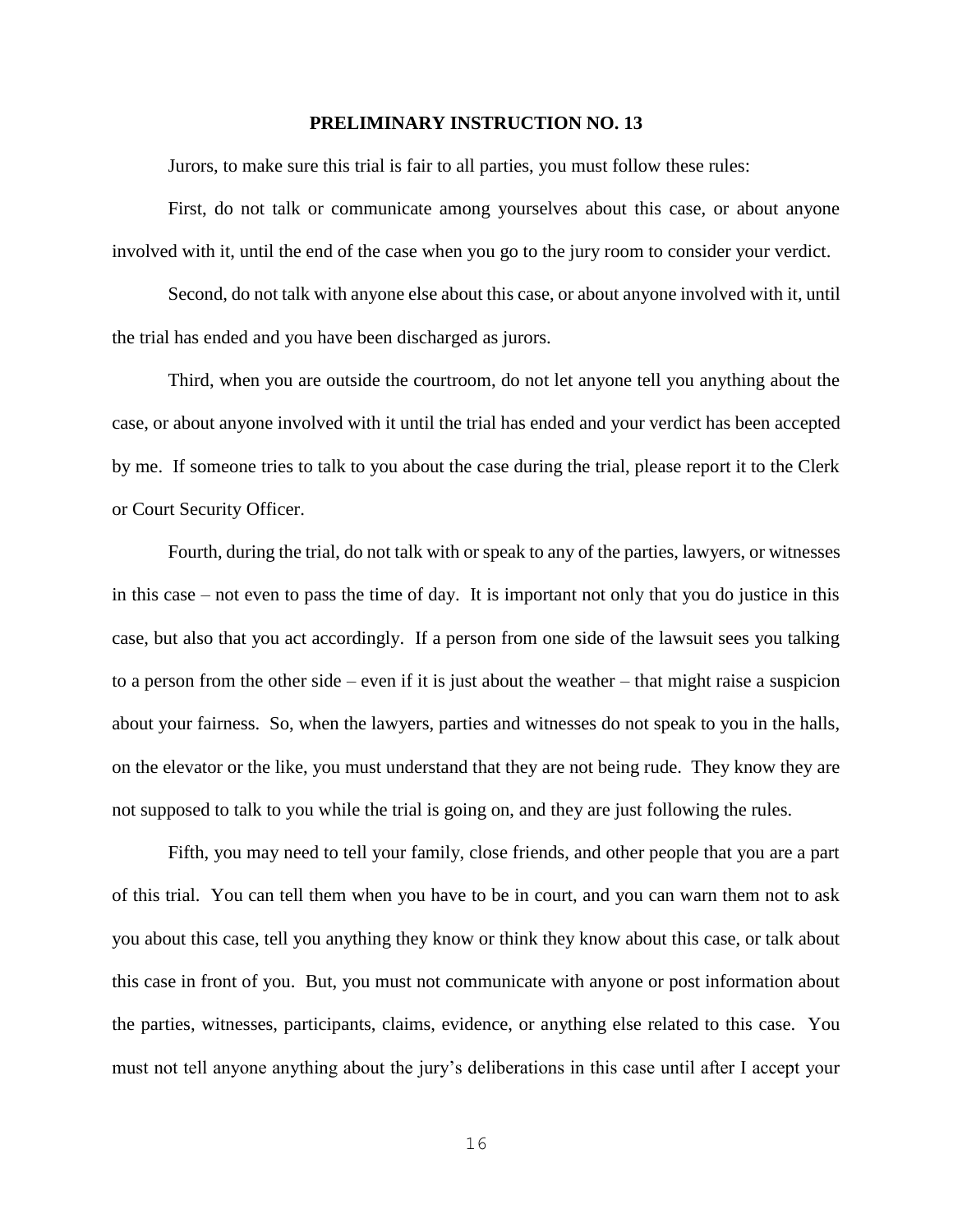Jurors, to make sure this trial is fair to all parties, you must follow these rules:

First, do not talk or communicate among yourselves about this case, or about anyone involved with it, until the end of the case when you go to the jury room to consider your verdict.

Second, do not talk with anyone else about this case, or about anyone involved with it, until the trial has ended and you have been discharged as jurors.

Third, when you are outside the courtroom, do not let anyone tell you anything about the case, or about anyone involved with it until the trial has ended and your verdict has been accepted by me. If someone tries to talk to you about the case during the trial, please report it to the Clerk or Court Security Officer.

Fourth, during the trial, do not talk with or speak to any of the parties, lawyers, or witnesses in this case – not even to pass the time of day. It is important not only that you do justice in this case, but also that you act accordingly. If a person from one side of the lawsuit sees you talking to a person from the other side – even if it is just about the weather – that might raise a suspicion about your fairness. So, when the lawyers, parties and witnesses do not speak to you in the halls, on the elevator or the like, you must understand that they are not being rude. They know they are not supposed to talk to you while the trial is going on, and they are just following the rules.

Fifth, you may need to tell your family, close friends, and other people that you are a part of this trial. You can tell them when you have to be in court, and you can warn them not to ask you about this case, tell you anything they know or think they know about this case, or talk about this case in front of you. But, you must not communicate with anyone or post information about the parties, witnesses, participants, claims, evidence, or anything else related to this case. You must not tell anyone anything about the jury's deliberations in this case until after I accept your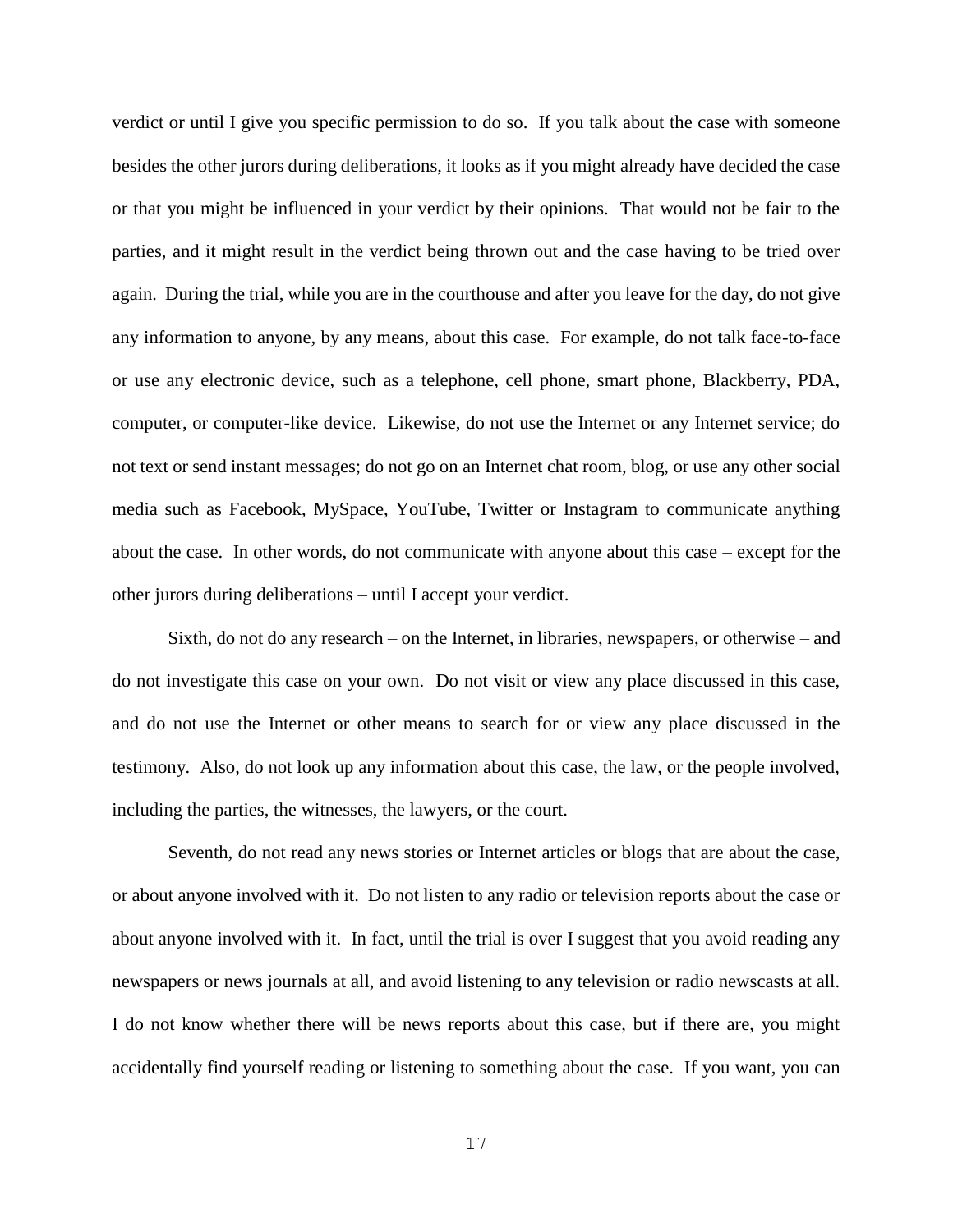verdict or until I give you specific permission to do so. If you talk about the case with someone besides the other jurors during deliberations, it looks as if you might already have decided the case or that you might be influenced in your verdict by their opinions. That would not be fair to the parties, and it might result in the verdict being thrown out and the case having to be tried over again. During the trial, while you are in the courthouse and after you leave for the day, do not give any information to anyone, by any means, about this case. For example, do not talk face-to-face or use any electronic device, such as a telephone, cell phone, smart phone, Blackberry, PDA, computer, or computer-like device. Likewise, do not use the Internet or any Internet service; do not text or send instant messages; do not go on an Internet chat room, blog, or use any other social media such as Facebook, MySpace, YouTube, Twitter or Instagram to communicate anything about the case. In other words, do not communicate with anyone about this case – except for the other jurors during deliberations – until I accept your verdict.

Sixth, do not do any research – on the Internet, in libraries, newspapers, or otherwise – and do not investigate this case on your own. Do not visit or view any place discussed in this case, and do not use the Internet or other means to search for or view any place discussed in the testimony. Also, do not look up any information about this case, the law, or the people involved, including the parties, the witnesses, the lawyers, or the court.

Seventh, do not read any news stories or Internet articles or blogs that are about the case, or about anyone involved with it. Do not listen to any radio or television reports about the case or about anyone involved with it. In fact, until the trial is over I suggest that you avoid reading any newspapers or news journals at all, and avoid listening to any television or radio newscasts at all. I do not know whether there will be news reports about this case, but if there are, you might accidentally find yourself reading or listening to something about the case. If you want, you can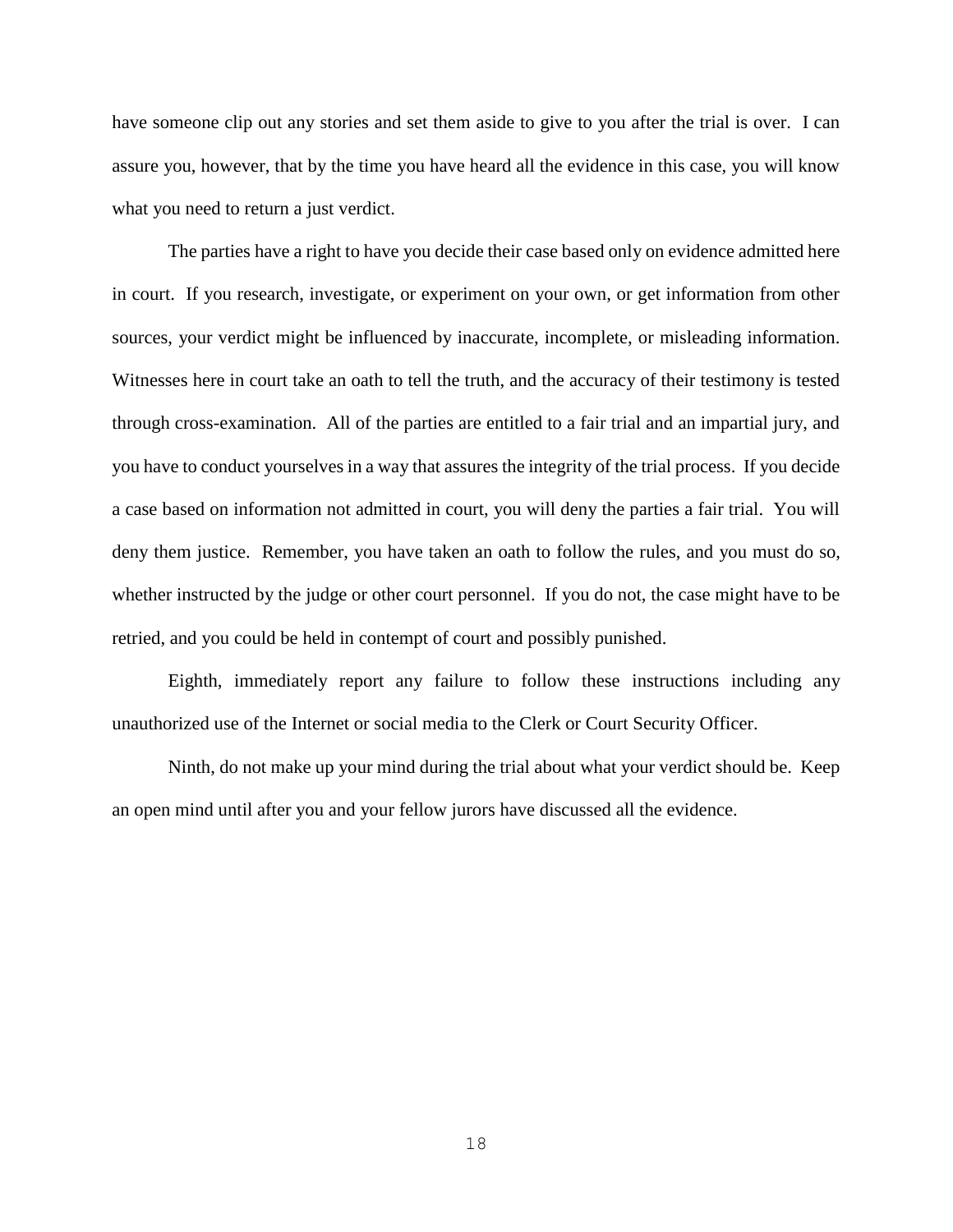have someone clip out any stories and set them aside to give to you after the trial is over. I can assure you, however, that by the time you have heard all the evidence in this case, you will know what you need to return a just verdict.

The parties have a right to have you decide their case based only on evidence admitted here in court. If you research, investigate, or experiment on your own, or get information from other sources, your verdict might be influenced by inaccurate, incomplete, or misleading information. Witnesses here in court take an oath to tell the truth, and the accuracy of their testimony is tested through cross-examination. All of the parties are entitled to a fair trial and an impartial jury, and you have to conduct yourselves in a way that assures the integrity of the trial process. If you decide a case based on information not admitted in court, you will deny the parties a fair trial. You will deny them justice. Remember, you have taken an oath to follow the rules, and you must do so, whether instructed by the judge or other court personnel. If you do not, the case might have to be retried, and you could be held in contempt of court and possibly punished.

Eighth, immediately report any failure to follow these instructions including any unauthorized use of the Internet or social media to the Clerk or Court Security Officer.

Ninth, do not make up your mind during the trial about what your verdict should be. Keep an open mind until after you and your fellow jurors have discussed all the evidence.

18